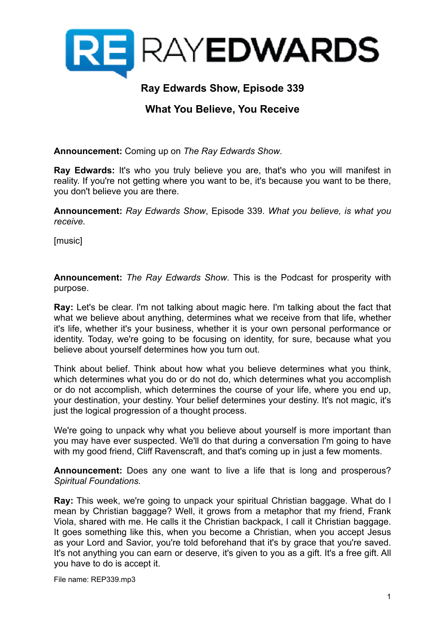

# **Ray Edwards Show, Episode 339**

# **What You Believe, You Receive**

**Announcement:** Coming up on *The Ray Edwards Show*.

**Ray Edwards:** It's who you truly believe you are, that's who you will manifest in reality. If you're not getting where you want to be, it's because you want to be there, you don't believe you are there.

**Announcement:** *Ray Edwards Show*, Episode 339. *What you believe, is what you receive.*

[music]

**Announcement:** *The Ray Edwards Show*. This is the Podcast for prosperity with purpose.

**Ray:** Let's be clear. I'm not talking about magic here. I'm talking about the fact that what we believe about anything, determines what we receive from that life, whether it's life, whether it's your business, whether it is your own personal performance or identity. Today, we're going to be focusing on identity, for sure, because what you believe about yourself determines how you turn out.

Think about belief. Think about how what you believe determines what you think, which determines what you do or do not do, which determines what you accomplish or do not accomplish, which determines the course of your life, where you end up, your destination, your destiny. Your belief determines your destiny. It's not magic, it's just the logical progression of a thought process.

We're going to unpack why what you believe about yourself is more important than you may have ever suspected. We'll do that during a conversation I'm going to have with my good friend, Cliff Ravenscraft, and that's coming up in just a few moments.

**Announcement:** Does any one want to live a life that is long and prosperous? *Spiritual Foundations.*

**Ray:** This week, we're going to unpack your spiritual Christian baggage. What do I mean by Christian baggage? Well, it grows from a metaphor that my friend, Frank Viola, shared with me. He calls it the Christian backpack, I call it Christian baggage. It goes something like this, when you become a Christian, when you accept Jesus as your Lord and Savior, you're told beforehand that it's by grace that you're saved. It's not anything you can earn or deserve, it's given to you as a gift. It's a free gift. All you have to do is accept it.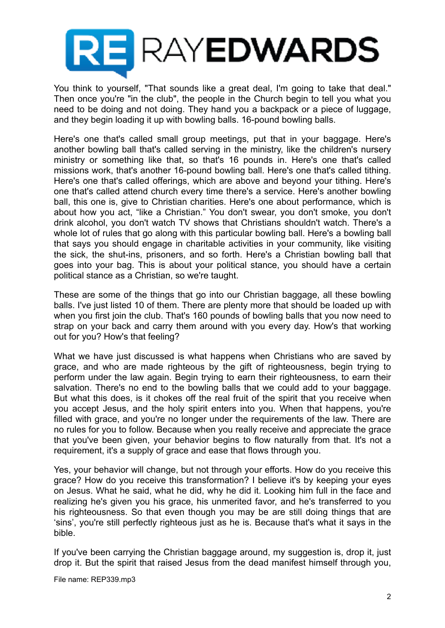

You think to yourself, "That sounds like a great deal, I'm going to take that deal." Then once you're "in the club", the people in the Church begin to tell you what you need to be doing and not doing. They hand you a backpack or a piece of luggage, and they begin loading it up with bowling balls. 16-pound bowling balls.

Here's one that's called small group meetings, put that in your baggage. Here's another bowling ball that's called serving in the ministry, like the children's nursery ministry or something like that, so that's 16 pounds in. Here's one that's called missions work, that's another 16-pound bowling ball. Here's one that's called tithing. Here's one that's called offerings, which are above and beyond your tithing. Here's one that's called attend church every time there's a service. Here's another bowling ball, this one is, give to Christian charities. Here's one about performance, which is about how you act, "like a Christian." You don't swear, you don't smoke, you don't drink alcohol, you don't watch TV shows that Christians shouldn't watch. There's a whole lot of rules that go along with this particular bowling ball. Here's a bowling ball that says you should engage in charitable activities in your community, like visiting the sick, the shut-ins, prisoners, and so forth. Here's a Christian bowling ball that goes into your bag. This is about your political stance, you should have a certain political stance as a Christian, so we're taught.

These are some of the things that go into our Christian baggage, all these bowling balls. I've just listed 10 of them. There are plenty more that should be loaded up with when you first join the club. That's 160 pounds of bowling balls that you now need to strap on your back and carry them around with you every day. How's that working out for you? How's that feeling?

What we have just discussed is what happens when Christians who are saved by grace, and who are made righteous by the gift of righteousness, begin trying to perform under the law again. Begin trying to earn their righteousness, to earn their salvation. There's no end to the bowling balls that we could add to your baggage. But what this does, is it chokes off the real fruit of the spirit that you receive when you accept Jesus, and the holy spirit enters into you. When that happens, you're filled with grace, and you're no longer under the requirements of the law. There are no rules for you to follow. Because when you really receive and appreciate the grace that you've been given, your behavior begins to flow naturally from that. It's not a requirement, it's a supply of grace and ease that flows through you.

Yes, your behavior will change, but not through your efforts. How do you receive this grace? How do you receive this transformation? I believe it's by keeping your eyes on Jesus. What he said, what he did, why he did it. Looking him full in the face and realizing he's given you his grace, his unmerited favor, and he's transferred to you his righteousness. So that even though you may be are still doing things that are 'sins', you're still perfectly righteous just as he is. Because that's what it says in the bible.

If you've been carrying the Christian baggage around, my suggestion is, drop it, just drop it. But the spirit that raised Jesus from the dead manifest himself through you,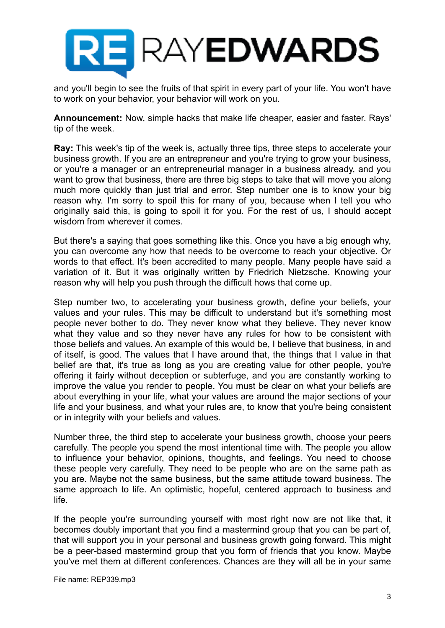

and you'll begin to see the fruits of that spirit in every part of your life. You won't have to work on your behavior, your behavior will work on you.

**Announcement:** Now, simple hacks that make life cheaper, easier and faster. Rays' tip of the week.

**Ray:** This week's tip of the week is, actually three tips, three steps to accelerate your business growth. If you are an entrepreneur and you're trying to grow your business, or you're a manager or an entrepreneurial manager in a business already, and you want to grow that business, there are three big steps to take that will move you along much more quickly than just trial and error. Step number one is to know your big reason why. I'm sorry to spoil this for many of you, because when I tell you who originally said this, is going to spoil it for you. For the rest of us, I should accept wisdom from wherever it comes.

But there's a saying that goes something like this. Once you have a big enough why, you can overcome any how that needs to be overcome to reach your objective. Or words to that effect. It's been accredited to many people. Many people have said a variation of it. But it was originally written by Friedrich Nietzsche. Knowing your reason why will help you push through the difficult hows that come up.

Step number two, to accelerating your business growth, define your beliefs, your values and your rules. This may be difficult to understand but it's something most people never bother to do. They never know what they believe. They never know what they value and so they never have any rules for how to be consistent with those beliefs and values. An example of this would be, I believe that business, in and of itself, is good. The values that I have around that, the things that I value in that belief are that, it's true as long as you are creating value for other people, you're offering it fairly without deception or subterfuge, and you are constantly working to improve the value you render to people. You must be clear on what your beliefs are about everything in your life, what your values are around the major sections of your life and your business, and what your rules are, to know that you're being consistent or in integrity with your beliefs and values.

Number three, the third step to accelerate your business growth, choose your peers carefully. The people you spend the most intentional time with. The people you allow to influence your behavior, opinions, thoughts, and feelings. You need to choose these people very carefully. They need to be people who are on the same path as you are. Maybe not the same business, but the same attitude toward business. The same approach to life. An optimistic, hopeful, centered approach to business and life.

If the people you're surrounding yourself with most right now are not like that, it becomes doubly important that you find a mastermind group that you can be part of, that will support you in your personal and business growth going forward. This might be a peer-based mastermind group that you form of friends that you know. Maybe you've met them at different conferences. Chances are they will all be in your same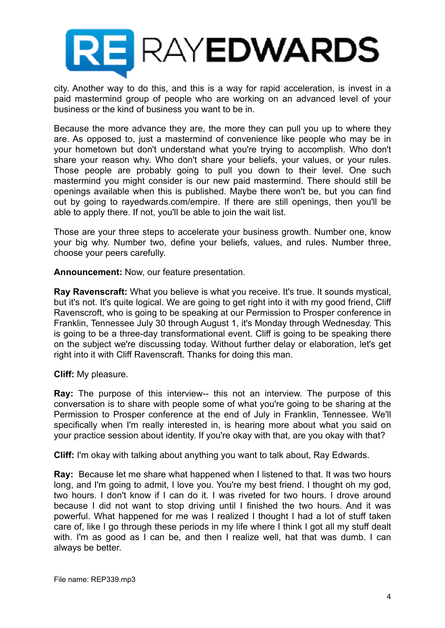

city. Another way to do this, and this is a way for rapid acceleration, is invest in a paid mastermind group of people who are working on an advanced level of your business or the kind of business you want to be in.

Because the more advance they are, the more they can pull you up to where they are. As opposed to, just a mastermind of convenience like people who may be in your hometown but don't understand what you're trying to accomplish. Who don't share your reason why. Who don't share your beliefs, your values, or your rules. Those people are probably going to pull you down to their level. One such mastermind you might consider is our new paid mastermind. There should still be openings available when this is published. Maybe there won't be, but you can find out by going to rayedwards.com/empire. If there are still openings, then you'll be able to apply there. If not, you'll be able to join the wait list.

Those are your three steps to accelerate your business growth. Number one, know your big why. Number two, define your beliefs, values, and rules. Number three, choose your peers carefully.

**Announcement:** Now, our feature presentation.

**Ray Ravenscraft:** What you believe is what you receive. It's true. It sounds mystical, but it's not. It's quite logical. We are going to get right into it with my good friend, Cliff Ravenscroft, who is going to be speaking at our Permission to Prosper conference in Franklin, Tennessee July 30 through August 1, it's Monday through Wednesday. This is going to be a three-day transformational event. Cliff is going to be speaking there on the subject we're discussing today. Without further delay or elaboration, let's get right into it with Cliff Ravenscraft. Thanks for doing this man.

**Cliff:** My pleasure.

**Ray:** The purpose of this interview-- this not an interview. The purpose of this conversation is to share with people some of what you're going to be sharing at the Permission to Prosper conference at the end of July in Franklin, Tennessee. We'll specifically when I'm really interested in, is hearing more about what you said on your practice session about identity. If you're okay with that, are you okay with that?

**Cliff:** I'm okay with talking about anything you want to talk about, Ray Edwards.

**Ray:** Because let me share what happened when I listened to that. It was two hours long, and I'm going to admit, I love you. You're my best friend. I thought oh my god, two hours. I don't know if I can do it. I was riveted for two hours. I drove around because I did not want to stop driving until I finished the two hours. And it was powerful. What happened for me was I realized I thought I had a lot of stuff taken care of, like I go through these periods in my life where I think I got all my stuff dealt with. I'm as good as I can be, and then I realize well, hat that was dumb. I can always be better.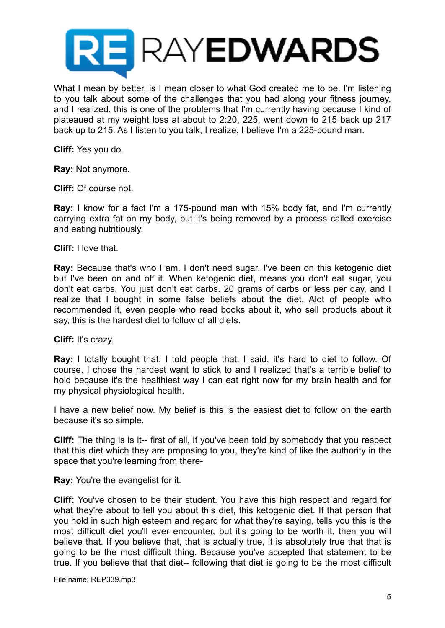

What I mean by better, is I mean closer to what God created me to be. I'm listening to you talk about some of the challenges that you had along your fitness journey, and I realized, this is one of the problems that I'm currently having because I kind of plateaued at my weight loss at about to 2:20, 225, went down to 215 back up 217 back up to 215. As I listen to you talk, I realize, I believe I'm a 225-pound man.

**Cliff:** Yes you do.

**Ray:** Not anymore.

**Cliff:** Of course not.

**Ray:** I know for a fact I'm a 175-pound man with 15% body fat, and I'm currently carrying extra fat on my body, but it's being removed by a process called exercise and eating nutritiously.

**Cliff:** I love that.

**Ray:** Because that's who I am. I don't need sugar. I've been on this ketogenic diet but I've been on and off it. When ketogenic diet, means you don't eat sugar, you don't eat carbs, You just don't eat carbs. 20 grams of carbs or less per day, and I realize that I bought in some false beliefs about the diet. Alot of people who recommended it, even people who read books about it, who sell products about it say, this is the hardest diet to follow of all diets.

**Cliff:** It's crazy.

**Ray:** I totally bought that, I told people that. I said, it's hard to diet to follow. Of course, I chose the hardest want to stick to and I realized that's a terrible belief to hold because it's the healthiest way I can eat right now for my brain health and for my physical physiological health.

I have a new belief now. My belief is this is the easiest diet to follow on the earth because it's so simple.

**Cliff:** The thing is is it-- first of all, if you've been told by somebody that you respect that this diet which they are proposing to you, they're kind of like the authority in the space that you're learning from there-

**Ray:** You're the evangelist for it.

**Cliff:** You've chosen to be their student. You have this high respect and regard for what they're about to tell you about this diet, this ketogenic diet. If that person that you hold in such high esteem and regard for what they're saying, tells you this is the most difficult diet you'll ever encounter, but it's going to be worth it, then you will believe that. If you believe that, that is actually true, it is absolutely true that that is going to be the most difficult thing. Because you've accepted that statement to be true. If you believe that that diet-- following that diet is going to be the most difficult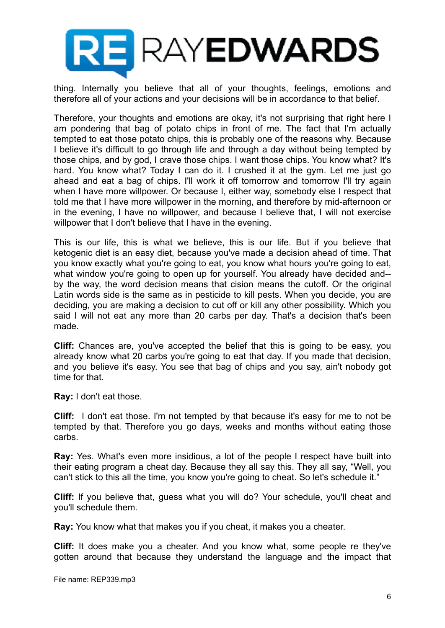

thing. Internally you believe that all of your thoughts, feelings, emotions and therefore all of your actions and your decisions will be in accordance to that belief.

Therefore, your thoughts and emotions are okay, it's not surprising that right here I am pondering that bag of potato chips in front of me. The fact that I'm actually tempted to eat those potato chips, this is probably one of the reasons why. Because I believe it's difficult to go through life and through a day without being tempted by those chips, and by god, I crave those chips. I want those chips. You know what? It's hard. You know what? Today I can do it. I crushed it at the gym. Let me just go ahead and eat a bag of chips. I'll work it off tomorrow and tomorrow I'll try again when I have more willpower. Or because I, either way, somebody else I respect that told me that I have more willpower in the morning, and therefore by mid-afternoon or in the evening, I have no willpower, and because I believe that, I will not exercise willpower that I don't believe that I have in the evening.

This is our life, this is what we believe, this is our life. But if you believe that ketogenic diet is an easy diet, because you've made a decision ahead of time. That you know exactly what you're going to eat, you know what hours you're going to eat, what window you're going to open up for yourself. You already have decided and- by the way, the word decision means that cision means the cutoff. Or the original Latin words side is the same as in pesticide to kill pests. When you decide, you are deciding, you are making a decision to cut off or kill any other possibility. Which you said I will not eat any more than 20 carbs per day. That's a decision that's been made.

**Cliff:** Chances are, you've accepted the belief that this is going to be easy, you already know what 20 carbs you're going to eat that day. If you made that decision, and you believe it's easy. You see that bag of chips and you say, ain't nobody got time for that.

**Ray:** I don't eat those.

**Cliff:** I don't eat those. I'm not tempted by that because it's easy for me to not be tempted by that. Therefore you go days, weeks and months without eating those carbs.

**Ray:** Yes. What's even more insidious, a lot of the people I respect have built into their eating program a cheat day. Because they all say this. They all say, "Well, you can't stick to this all the time, you know you're going to cheat. So let's schedule it."

**Cliff:** If you believe that, guess what you will do? Your schedule, you'll cheat and you'll schedule them.

**Ray:** You know what that makes you if you cheat, it makes you a cheater.

**Cliff:** It does make you a cheater. And you know what, some people re they've gotten around that because they understand the language and the impact that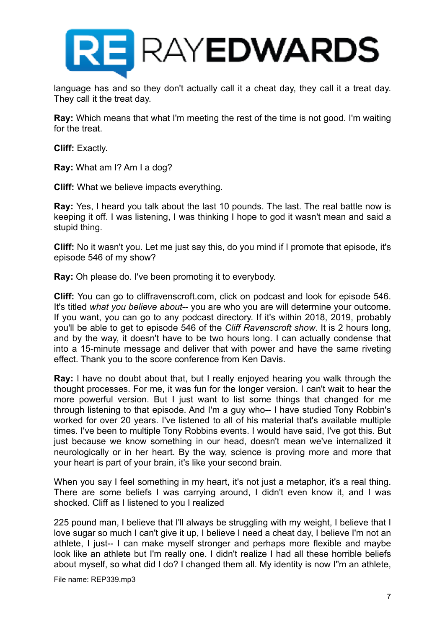

language has and so they don't actually call it a cheat day, they call it a treat day. They call it the treat day.

**Ray:** Which means that what I'm meeting the rest of the time is not good. I'm waiting for the treat.

**Cliff:** Exactly.

**Ray:** What am I? Am I a dog?

**Cliff:** What we believe impacts everything.

**Ray:** Yes, I heard you talk about the last 10 pounds. The last. The real battle now is keeping it off. I was listening, I was thinking I hope to god it wasn't mean and said a stupid thing.

**Cliff:** No it wasn't you. Let me just say this, do you mind if I promote that episode, it's episode 546 of my show?

**Ray:** Oh please do. I've been promoting it to everybody.

**Cliff:** You can go to cliffravenscroft.com, click on podcast and look for episode 546. It's titled *what you believe about*-- you are who you are will determine your outcome. If you want, you can go to any podcast directory. If it's within 2018, 2019, probably you'll be able to get to episode 546 of the *Cliff Ravenscroft show*. It is 2 hours long, and by the way, it doesn't have to be two hours long. I can actually condense that into a 15-minute message and deliver that with power and have the same riveting effect. Thank you to the score conference from Ken Davis.

**Ray:** I have no doubt about that, but I really enjoyed hearing you walk through the thought processes. For me, it was fun for the longer version. I can't wait to hear the more powerful version. But I just want to list some things that changed for me through listening to that episode. And I'm a guy who-- I have studied Tony Robbin's worked for over 20 years. I've listened to all of his material that's available multiple times. I've been to multiple Tony Robbins events. I would have said, I've got this. But just because we know something in our head, doesn't mean we've internalized it neurologically or in her heart. By the way, science is proving more and more that your heart is part of your brain, it's like your second brain.

When you say I feel something in my heart, it's not just a metaphor, it's a real thing. There are some beliefs I was carrying around, I didn't even know it, and I was shocked. Cliff as I listened to you I realized

225 pound man, I believe that I'll always be struggling with my weight, I believe that I love sugar so much I can't give it up, I believe I need a cheat day, I believe I'm not an athlete, I just-- I can make myself stronger and perhaps more flexible and maybe look like an athlete but I'm really one. I didn't realize I had all these horrible beliefs about myself, so what did I do? I changed them all. My identity is now I"m an athlete,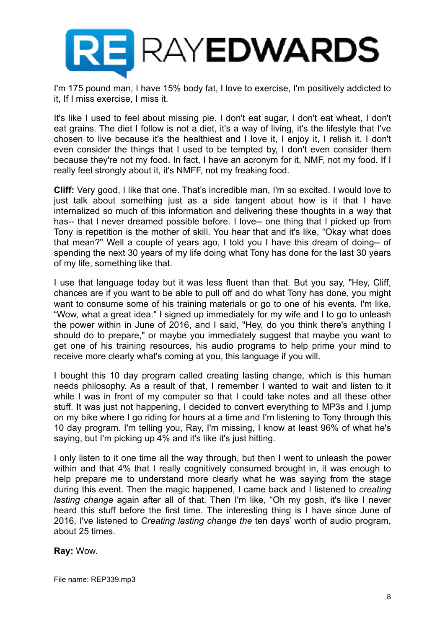

I'm 175 pound man, I have 15% body fat, I love to exercise, I'm positively addicted to it, If I miss exercise, I miss it.

It's like I used to feel about missing pie. I don't eat sugar, I don't eat wheat, I don't eat grains. The diet I follow is not a diet, it's a way of living, it's the lifestyle that I've chosen to live because it's the healthiest and I love it, I enjoy it, I relish it. I don't even consider the things that I used to be tempted by, I don't even consider them because they're not my food. In fact, I have an acronym for it, NMF, not my food. If I really feel strongly about it, it's NMFF, not my freaking food.

**Cliff:** Very good, I like that one. That's incredible man, I'm so excited. I would love to just talk about something just as a side tangent about how is it that I have internalized so much of this information and delivering these thoughts in a way that has-- that I never dreamed possible before. I love-- one thing that I picked up from Tony is repetition is the mother of skill. You hear that and it's like, "Okay what does that mean?" Well a couple of years ago, I told you I have this dream of doing-- of spending the next 30 years of my life doing what Tony has done for the last 30 years of my life, something like that.

I use that language today but it was less fluent than that. But you say, "Hey, Cliff, chances are if you want to be able to pull off and do what Tony has done, you might want to consume some of his training materials or go to one of his events. I'm like, "Wow, what a great idea." I signed up immediately for my wife and I to go to unleash the power within in June of 2016, and I said, "Hey, do you think there's anything I should do to prepare," or maybe you immediately suggest that maybe you want to get one of his training resources, his audio programs to help prime your mind to receive more clearly what's coming at you, this language if you will.

I bought this 10 day program called creating lasting change, which is this human needs philosophy. As a result of that, I remember I wanted to wait and listen to it while I was in front of my computer so that I could take notes and all these other stuff. It was just not happening, I decided to convert everything to MP3s and I jump on my bike where I go riding for hours at a time and I'm listening to Tony through this 10 day program. I'm telling you, Ray, I'm missing, I know at least 96% of what he's saying, but I'm picking up 4% and it's like it's just hitting.

I only listen to it one time all the way through, but then I went to unleash the power within and that 4% that I really cognitively consumed brought in, it was enough to help prepare me to understand more clearly what he was saying from the stage during this event. Then the magic happened, I came back and I listened to *creating lasting change* again after all of that. Then I'm like, "Oh my gosh, it's like I never heard this stuff before the first time. The interesting thing is I have since June of 2016, I've listened to *Creating lasting change the* ten days' worth of audio program, about 25 times.

**Ray:** Wow.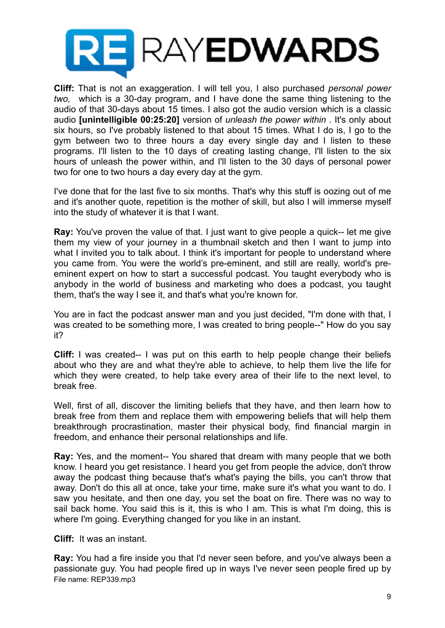

**Cliff:** That is not an exaggeration. I will tell you, I also purchased *personal power two,* which is a 30-day program, and I have done the same thing listening to the audio of that 30-days about 15 times. I also got the audio version which is a classic audio **[unintelligible 00:25:20]** version of *unleash the power within* . It's only about six hours, so I've probably listened to that about 15 times. What I do is, I go to the gym between two to three hours a day every single day and I listen to these programs. I'll listen to the 10 days of creating lasting change, I'll listen to the six hours of unleash the power within, and I'll listen to the 30 days of personal power two for one to two hours a day every day at the gym.

I've done that for the last five to six months. That's why this stuff is oozing out of me and it's another quote, repetition is the mother of skill, but also I will immerse myself into the study of whatever it is that I want.

**Ray:** You've proven the value of that. I just want to give people a quick-- let me give them my view of your journey in a thumbnail sketch and then I want to jump into what I invited you to talk about. I think it's important for people to understand where you came from. You were the world's pre-eminent, and still are really, world's preeminent expert on how to start a successful podcast. You taught everybody who is anybody in the world of business and marketing who does a podcast, you taught them, that's the way I see it, and that's what you're known for.

You are in fact the podcast answer man and you just decided, "I'm done with that, I was created to be something more, I was created to bring people--" How do you say it?

**Cliff:** I was created-- I was put on this earth to help people change their beliefs about who they are and what they're able to achieve, to help them live the life for which they were created, to help take every area of their life to the next level, to break free.

Well, first of all, discover the limiting beliefs that they have, and then learn how to break free from them and replace them with empowering beliefs that will help them breakthrough procrastination, master their physical body, find financial margin in freedom, and enhance their personal relationships and life.

**Ray:** Yes, and the moment-- You shared that dream with many people that we both know. I heard you get resistance. I heard you get from people the advice, don't throw away the podcast thing because that's what's paying the bills, you can't throw that away. Don't do this all at once, take your time, make sure it's what you want to do. I saw you hesitate, and then one day, you set the boat on fire. There was no way to sail back home. You said this is it, this is who I am. This is what I'm doing, this is where I'm going. Everything changed for you like in an instant.

**Cliff:** It was an instant.

**Ray:** You had a fire inside you that I'd never seen before, and you've always been a passionate guy. You had people fired up in ways I've never seen people fired up by File name: REP339.mp3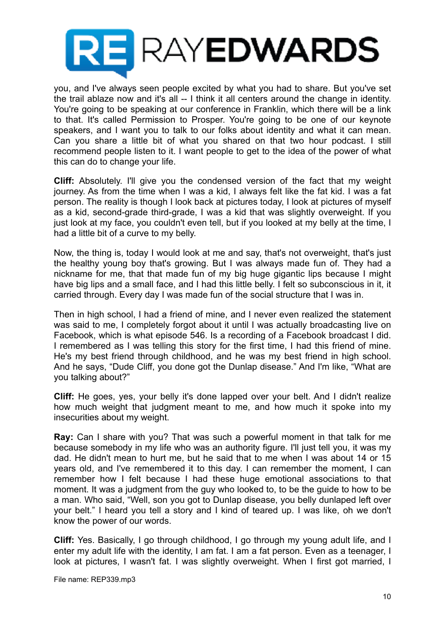

you, and I've always seen people excited by what you had to share. But you've set the trail ablaze now and it's all -- I think it all centers around the change in identity. You're going to be speaking at our conference in Franklin, which there will be a link to that. It's called Permission to Prosper. You're going to be one of our keynote speakers, and I want you to talk to our folks about identity and what it can mean. Can you share a little bit of what you shared on that two hour podcast. I still recommend people listen to it. I want people to get to the idea of the power of what this can do to change your life.

**Cliff:** Absolutely. I'll give you the condensed version of the fact that my weight journey. As from the time when I was a kid, I always felt like the fat kid. I was a fat person. The reality is though I look back at pictures today, I look at pictures of myself as a kid, second-grade third-grade, I was a kid that was slightly overweight. If you just look at my face, you couldn't even tell, but if you looked at my belly at the time, I had a little bit of a curve to my belly.

Now, the thing is, today I would look at me and say, that's not overweight, that's just the healthy young boy that's growing. But I was always made fun of. They had a nickname for me, that that made fun of my big huge gigantic lips because I might have big lips and a small face, and I had this little belly. I felt so subconscious in it, it carried through. Every day I was made fun of the social structure that I was in.

Then in high school, I had a friend of mine, and I never even realized the statement was said to me, I completely forgot about it until I was actually broadcasting live on Facebook, which is what episode 546. Is a recording of a Facebook broadcast I did. I remembered as I was telling this story for the first time, I had this friend of mine. He's my best friend through childhood, and he was my best friend in high school. And he says, "Dude Cliff, you done got the Dunlap disease." And I'm like, "What are you talking about?"

**Cliff:** He goes, yes, your belly it's done lapped over your belt. And I didn't realize how much weight that judgment meant to me, and how much it spoke into my insecurities about my weight.

**Ray:** Can I share with you? That was such a powerful moment in that talk for me because somebody in my life who was an authority figure. I'll just tell you, it was my dad. He didn't mean to hurt me, but he said that to me when I was about 14 or 15 years old, and I've remembered it to this day. I can remember the moment, I can remember how I felt because I had these huge emotional associations to that moment. It was a judgment from the guy who looked to, to be the guide to how to be a man. Who said, "Well, son you got to Dunlap disease, you belly dunlaped left over your belt." I heard you tell a story and I kind of teared up. I was like, oh we don't know the power of our words.

**Cliff:** Yes. Basically, I go through childhood, I go through my young adult life, and I enter my adult life with the identity, I am fat. I am a fat person. Even as a teenager, I look at pictures, I wasn't fat. I was slightly overweight. When I first got married, I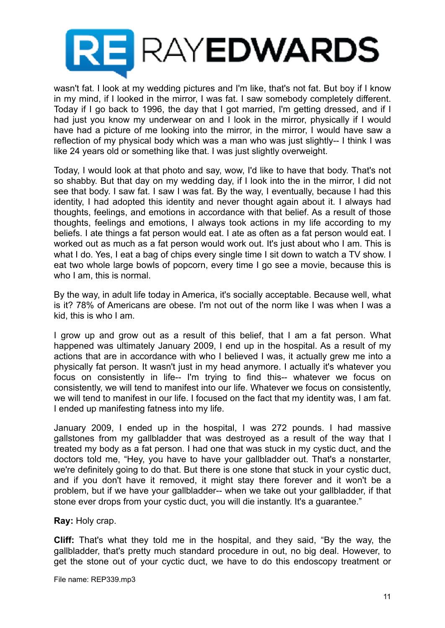

wasn't fat. I look at my wedding pictures and I'm like, that's not fat. But boy if I know in my mind, if I looked in the mirror, I was fat. I saw somebody completely different. Today if I go back to 1996, the day that I got married, I'm getting dressed, and if I had just you know my underwear on and I look in the mirror, physically if I would have had a picture of me looking into the mirror, in the mirror, I would have saw a reflection of my physical body which was a man who was just slightly-- I think I was like 24 years old or something like that. I was just slightly overweight.

Today, I would look at that photo and say, wow, I'd like to have that body. That's not so shabby. But that day on my wedding day, if I look into the in the mirror, I did not see that body. I saw fat. I saw I was fat. By the way, I eventually, because I had this identity, I had adopted this identity and never thought again about it. I always had thoughts, feelings, and emotions in accordance with that belief. As a result of those thoughts, feelings and emotions, I always took actions in my life according to my beliefs. I ate things a fat person would eat. I ate as often as a fat person would eat. I worked out as much as a fat person would work out. It's just about who I am. This is what I do. Yes, I eat a bag of chips every single time I sit down to watch a TV show. I eat two whole large bowls of popcorn, every time I go see a movie, because this is who I am, this is normal.

By the way, in adult life today in America, it's socially acceptable. Because well, what is it? 78% of Americans are obese. I'm not out of the norm like I was when I was a kid, this is who I am.

I grow up and grow out as a result of this belief, that I am a fat person. What happened was ultimately January 2009, I end up in the hospital. As a result of my actions that are in accordance with who I believed I was, it actually grew me into a physically fat person. It wasn't just in my head anymore. I actually it's whatever you focus on consistently in life-- I'm trying to find this-- whatever we focus on consistently, we will tend to manifest into our life. Whatever we focus on consistently, we will tend to manifest in our life. I focused on the fact that my identity was, I am fat. I ended up manifesting fatness into my life.

January 2009, I ended up in the hospital, I was 272 pounds. I had massive gallstones from my gallbladder that was destroyed as a result of the way that I treated my body as a fat person. I had one that was stuck in my cystic duct, and the doctors told me, "Hey, you have to have your gallbladder out. That's a nonstarter, we're definitely going to do that. But there is one stone that stuck in your cystic duct, and if you don't have it removed, it might stay there forever and it won't be a problem, but if we have your gallbladder-- when we take out your gallbladder, if that stone ever drops from your cystic duct, you will die instantly. It's a guarantee."

**Ray:** Holy crap.

**Cliff:** That's what they told me in the hospital, and they said, "By the way, the gallbladder, that's pretty much standard procedure in out, no big deal. However, to get the stone out of your cyctic duct, we have to do this endoscopy treatment or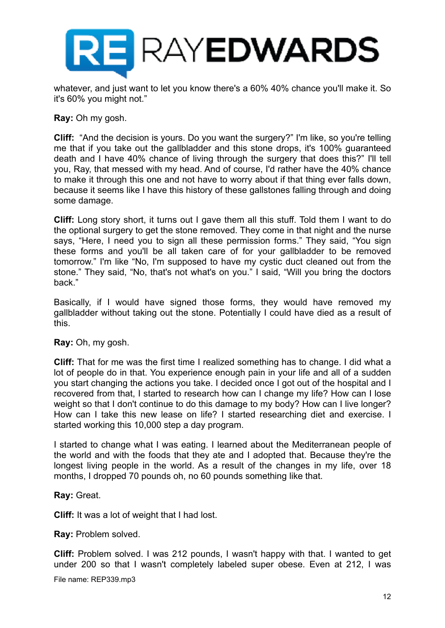

whatever, and just want to let you know there's a 60% 40% chance you'll make it. So it's 60% you might not."

**Ray:** Oh my gosh.

**Cliff:** "And the decision is yours. Do you want the surgery?" I'm like, so you're telling me that if you take out the gallbladder and this stone drops, it's 100% guaranteed death and I have 40% chance of living through the surgery that does this?" I'll tell you, Ray, that messed with my head. And of course, I'd rather have the 40% chance to make it through this one and not have to worry about if that thing ever falls down, because it seems like I have this history of these gallstones falling through and doing some damage.

**Cliff:** Long story short, it turns out I gave them all this stuff. Told them I want to do the optional surgery to get the stone removed. They come in that night and the nurse says, "Here, I need you to sign all these permission forms." They said, "You sign these forms and you'll be all taken care of for your gallbladder to be removed tomorrow." I'm like "No, I'm supposed to have my cystic duct cleaned out from the stone." They said, "No, that's not what's on you." I said, "Will you bring the doctors back."

Basically, if I would have signed those forms, they would have removed my gallbladder without taking out the stone. Potentially I could have died as a result of this.

**Ray:** Oh, my gosh.

**Cliff:** That for me was the first time I realized something has to change. I did what a lot of people do in that. You experience enough pain in your life and all of a sudden you start changing the actions you take. I decided once I got out of the hospital and I recovered from that, I started to research how can I change my life? How can I lose weight so that I don't continue to do this damage to my body? How can I live longer? How can I take this new lease on life? I started researching diet and exercise. I started working this 10,000 step a day program.

I started to change what I was eating. I learned about the Mediterranean people of the world and with the foods that they ate and I adopted that. Because they're the longest living people in the world. As a result of the changes in my life, over 18 months, I dropped 70 pounds oh, no 60 pounds something like that.

# **Ray:** Great.

**Cliff:** It was a lot of weight that I had lost.

**Ray:** Problem solved.

**Cliff:** Problem solved. I was 212 pounds, I wasn't happy with that. I wanted to get under 200 so that I wasn't completely labeled super obese. Even at 212, I was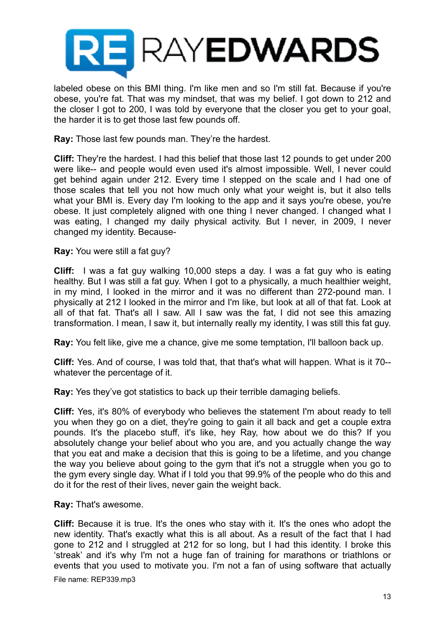

labeled obese on this BMI thing. I'm like men and so I'm still fat. Because if you're obese, you're fat. That was my mindset, that was my belief. I got down to 212 and the closer I got to 200, I was told by everyone that the closer you get to your goal, the harder it is to get those last few pounds off.

**Ray:** Those last few pounds man. They're the hardest.

**Cliff:** They're the hardest. I had this belief that those last 12 pounds to get under 200 were like-- and people would even used it's almost impossible. Well, I never could get behind again under 212. Every time I stepped on the scale and I had one of those scales that tell you not how much only what your weight is, but it also tells what your BMI is. Every day I'm looking to the app and it says you're obese, you're obese. It just completely aligned with one thing I never changed. I changed what I was eating, I changed my daily physical activity. But I never, in 2009, I never changed my identity. Because-

**Ray:** You were still a fat guy?

**Cliff:** I was a fat guy walking 10,000 steps a day. I was a fat guy who is eating healthy. But I was still a fat guy. When I got to a physically, a much healthier weight, in my mind, I looked in the mirror and it was no different than 272-pound man. I physically at 212 I looked in the mirror and I'm like, but look at all of that fat. Look at all of that fat. That's all I saw. All I saw was the fat, I did not see this amazing transformation. I mean, I saw it, but internally really my identity, I was still this fat guy.

**Ray:** You felt like, give me a chance, give me some temptation, I'll balloon back up.

**Cliff:** Yes. And of course, I was told that, that that's what will happen. What is it 70- whatever the percentage of it.

**Ray:** Yes they've got statistics to back up their terrible damaging beliefs.

**Cliff:** Yes, it's 80% of everybody who believes the statement I'm about ready to tell you when they go on a diet, they're going to gain it all back and get a couple extra pounds. It's the placebo stuff, it's like, hey Ray, how about we do this? If you absolutely change your belief about who you are, and you actually change the way that you eat and make a decision that this is going to be a lifetime, and you change the way you believe about going to the gym that it's not a struggle when you go to the gym every single day. What if I told you that 99.9% of the people who do this and do it for the rest of their lives, never gain the weight back.

**Ray:** That's awesome.

**Cliff:** Because it is true. It's the ones who stay with it. It's the ones who adopt the new identity. That's exactly what this is all about. As a result of the fact that I had gone to 212 and I struggled at 212 for so long, but I had this identity. I broke this 'streak' and it's why I'm not a huge fan of training for marathons or triathlons or events that you used to motivate you. I'm not a fan of using software that actually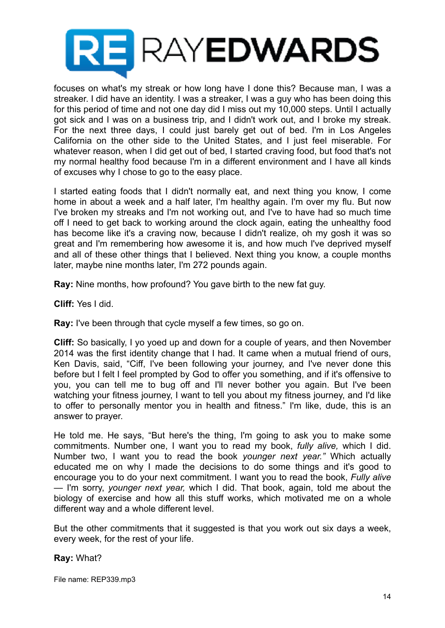

focuses on what's my streak or how long have I done this? Because man, I was a streaker. I did have an identity. I was a streaker, I was a guy who has been doing this for this period of time and not one day did I miss out my 10,000 steps. Until I actually got sick and I was on a business trip, and I didn't work out, and I broke my streak. For the next three days, I could just barely get out of bed. I'm in Los Angeles California on the other side to the United States, and I just feel miserable. For whatever reason, when I did get out of bed, I started craving food, but food that's not my normal healthy food because I'm in a different environment and I have all kinds of excuses why I chose to go to the easy place.

I started eating foods that I didn't normally eat, and next thing you know, I come home in about a week and a half later, I'm healthy again. I'm over my flu. But now I've broken my streaks and I'm not working out, and I've to have had so much time off I need to get back to working around the clock again, eating the unhealthy food has become like it's a craving now, because I didn't realize, oh my gosh it was so great and I'm remembering how awesome it is, and how much I've deprived myself and all of these other things that I believed. Next thing you know, a couple months later, maybe nine months later, I'm 272 pounds again.

**Ray:** Nine months, how profound? You gave birth to the new fat guy.

**Cliff:** Yes I did.

**Ray:** I've been through that cycle myself a few times, so go on.

**Cliff:** So basically, I yo yoed up and down for a couple of years, and then November 2014 was the first identity change that I had. It came when a mutual friend of ours, Ken Davis, said, "Ciff, I've been following your journey, and I've never done this before but I felt I feel prompted by God to offer you something, and if it's offensive to you, you can tell me to bug off and I'll never bother you again. But I've been watching your fitness journey, I want to tell you about my fitness journey, and I'd like to offer to personally mentor you in health and fitness." I'm like, dude, this is an answer to prayer.

He told me. He says, "But here's the thing, I'm going to ask you to make some commitments. Number one, I want you to read my book, *fully alive,* which I did. Number two, I want you to read the book *younger next year."* Which actually educated me on why I made the decisions to do some things and it's good to encourage you to do your next commitment. I want you to read the book, *Fully alive —* I'm sorry, *younger next year,* which I did. That book, again, told me about the biology of exercise and how all this stuff works, which motivated me on a whole different way and a whole different level.

But the other commitments that it suggested is that you work out six days a week, every week, for the rest of your life.

# **Ray:** What?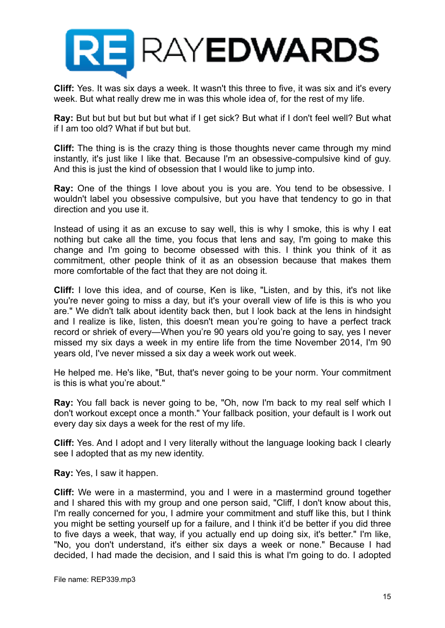

**Cliff:** Yes. It was six days a week. It wasn't this three to five, it was six and it's every week. But what really drew me in was this whole idea of, for the rest of my life.

**Ray:** But but but but but but what if I get sick? But what if I don't feel well? But what if I am too old? What if but but but.

**Cliff:** The thing is is the crazy thing is those thoughts never came through my mind instantly, it's just like I like that. Because I'm an obsessive-compulsive kind of guy. And this is just the kind of obsession that I would like to jump into.

**Ray:** One of the things I love about you is you are. You tend to be obsessive. I wouldn't label you obsessive compulsive, but you have that tendency to go in that direction and you use it.

Instead of using it as an excuse to say well, this is why I smoke, this is why I eat nothing but cake all the time, you focus that lens and say, I'm going to make this change and I'm going to become obsessed with this. I think you think of it as commitment, other people think of it as an obsession because that makes them more comfortable of the fact that they are not doing it.

**Cliff:** I love this idea, and of course, Ken is like, "Listen, and by this, it's not like you're never going to miss a day, but it's your overall view of life is this is who you are." We didn't talk about identity back then, but I look back at the lens in hindsight and I realize is like, listen, this doesn't mean you're going to have a perfect track record or shriek of every—When you're 90 years old you're going to say, yes I never missed my six days a week in my entire life from the time November 2014, I'm 90 years old, I've never missed a six day a week work out week.

He helped me. He's like, "But, that's never going to be your norm. Your commitment is this is what you're about."

**Ray:** You fall back is never going to be, "Oh, now I'm back to my real self which I don't workout except once a month." Your fallback position, your default is I work out every day six days a week for the rest of my life.

**Cliff:** Yes. And I adopt and I very literally without the language looking back I clearly see I adopted that as my new identity.

**Ray:** Yes, I saw it happen.

**Cliff:** We were in a mastermind, you and I were in a mastermind ground together and I shared this with my group and one person said, "Cliff, I don't know about this, I'm really concerned for you, I admire your commitment and stuff like this, but I think you might be setting yourself up for a failure, and I think it'd be better if you did three to five days a week, that way, if you actually end up doing six, it's better." I'm like, "No, you don't understand, it's either six days a week or none." Because I had decided, I had made the decision, and I said this is what I'm going to do. I adopted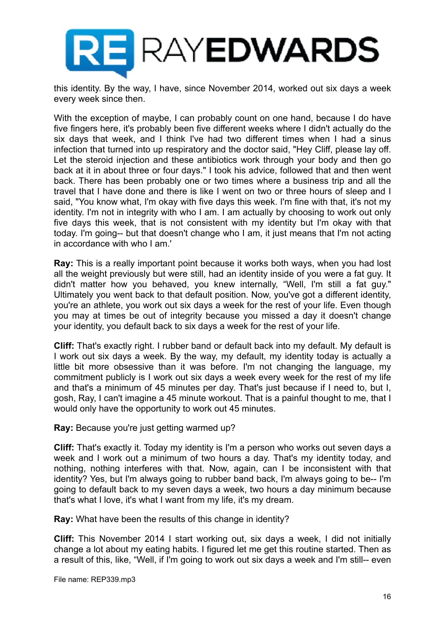

this identity. By the way, I have, since November 2014, worked out six days a week every week since then.

With the exception of maybe, I can probably count on one hand, because I do have five fingers here, it's probably been five different weeks where I didn't actually do the six days that week, and I think I've had two different times when I had a sinus infection that turned into up respiratory and the doctor said, "Hey Cliff, please lay off. Let the steroid injection and these antibiotics work through your body and then go back at it in about three or four days." I took his advice, followed that and then went back. There has been probably one or two times where a business trip and all the travel that I have done and there is like I went on two or three hours of sleep and I said, "You know what, I'm okay with five days this week. I'm fine with that, it's not my identity. I'm not in integrity with who I am. I am actually by choosing to work out only five days this week, that is not consistent with my identity but I'm okay with that today. I'm going-- but that doesn't change who I am, it just means that I'm not acting in accordance with who I am.'

**Ray:** This is a really important point because it works both ways, when you had lost all the weight previously but were still, had an identity inside of you were a fat guy. It didn't matter how you behaved, you knew internally, "Well, I'm still a fat guy." Ultimately you went back to that default position. Now, you've got a different identity, you're an athlete, you work out six days a week for the rest of your life. Even though you may at times be out of integrity because you missed a day it doesn't change your identity, you default back to six days a week for the rest of your life.

**Cliff:** That's exactly right. I rubber band or default back into my default. My default is I work out six days a week. By the way, my default, my identity today is actually a little bit more obsessive than it was before. I'm not changing the language, my commitment publicly is I work out six days a week every week for the rest of my life and that's a minimum of 45 minutes per day. That's just because if I need to, but I, gosh, Ray, I can't imagine a 45 minute workout. That is a painful thought to me, that I would only have the opportunity to work out 45 minutes.

**Ray:** Because you're just getting warmed up?

**Cliff:** That's exactly it. Today my identity is I'm a person who works out seven days a week and I work out a minimum of two hours a day. That's my identity today, and nothing, nothing interferes with that. Now, again, can I be inconsistent with that identity? Yes, but I'm always going to rubber band back, I'm always going to be-- I'm going to default back to my seven days a week, two hours a day minimum because that's what I love, it's what I want from my life, it's my dream.

**Ray:** What have been the results of this change in identity?

**Cliff:** This November 2014 I start working out, six days a week, I did not initially change a lot about my eating habits. I figured let me get this routine started. Then as a result of this, like, "Well, if I'm going to work out six days a week and I'm still-- even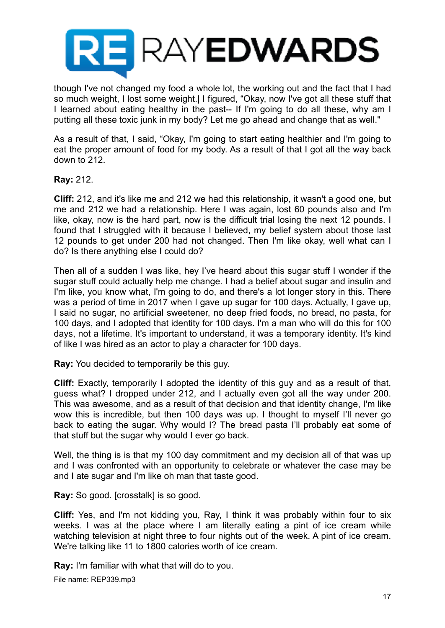

though I've not changed my food a whole lot, the working out and the fact that I had so much weight, I lost some weight.| I figured, "Okay, now I've got all these stuff that I learned about eating healthy in the past-- If I'm going to do all these, why am I putting all these toxic junk in my body? Let me go ahead and change that as well."

As a result of that, I said, "Okay, I'm going to start eating healthier and I'm going to eat the proper amount of food for my body. As a result of that I got all the way back down to 212.

# **Ray:** 212.

**Cliff:** 212, and it's like me and 212 we had this relationship, it wasn't a good one, but me and 212 we had a relationship. Here I was again, lost 60 pounds also and I'm like, okay, now is the hard part, now is the difficult trial losing the next 12 pounds. I found that I struggled with it because I believed, my belief system about those last 12 pounds to get under 200 had not changed. Then I'm like okay, well what can I do? Is there anything else I could do?

Then all of a sudden I was like, hey I've heard about this sugar stuff I wonder if the sugar stuff could actually help me change. I had a belief about sugar and insulin and I'm like, you know what, I'm going to do, and there's a lot longer story in this. There was a period of time in 2017 when I gave up sugar for 100 days. Actually, I gave up, I said no sugar, no artificial sweetener, no deep fried foods, no bread, no pasta, for 100 days, and I adopted that identity for 100 days. I'm a man who will do this for 100 days, not a lifetime. It's important to understand, it was a temporary identity. It's kind of like I was hired as an actor to play a character for 100 days.

**Ray:** You decided to temporarily be this guy.

**Cliff:** Exactly, temporarily I adopted the identity of this guy and as a result of that, guess what? I dropped under 212, and I actually even got all the way under 200. This was awesome, and as a result of that decision and that identity change, I'm like wow this is incredible, but then 100 days was up. I thought to myself I'll never go back to eating the sugar. Why would I? The bread pasta I'll probably eat some of that stuff but the sugar why would I ever go back.

Well, the thing is is that my 100 day commitment and my decision all of that was up and I was confronted with an opportunity to celebrate or whatever the case may be and I ate sugar and I'm like oh man that taste good.

**Ray:** So good. [crosstalk] is so good.

**Cliff:** Yes, and I'm not kidding you, Ray, I think it was probably within four to six weeks. I was at the place where I am literally eating a pint of ice cream while watching television at night three to four nights out of the week. A pint of ice cream. We're talking like 11 to 1800 calories worth of ice cream.

**Ray:** I'm familiar with what that will do to you.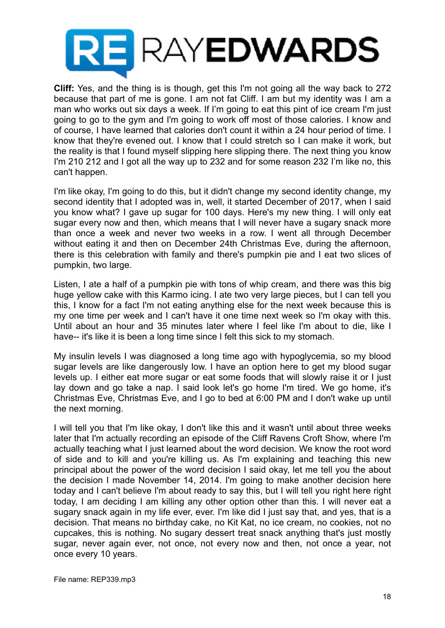

**Cliff:** Yes, and the thing is is though, get this I'm not going all the way back to 272 because that part of me is gone. I am not fat Cliff. I am but my identity was I am a man who works out six days a week. If I'm going to eat this pint of ice cream I'm just going to go to the gym and I'm going to work off most of those calories. I know and of course, I have learned that calories don't count it within a 24 hour period of time. I know that they're evened out. I know that I could stretch so I can make it work, but the reality is that I found myself slipping here slipping there. The next thing you know I'm 210 212 and I got all the way up to 232 and for some reason 232 I'm like no, this can't happen.

I'm like okay, I'm going to do this, but it didn't change my second identity change, my second identity that I adopted was in, well, it started December of 2017, when I said you know what? I gave up sugar for 100 days. Here's my new thing. I will only eat sugar every now and then, which means that I will never have a sugary snack more than once a week and never two weeks in a row. I went all through December without eating it and then on December 24th Christmas Eve, during the afternoon, there is this celebration with family and there's pumpkin pie and I eat two slices of pumpkin, two large.

Listen, I ate a half of a pumpkin pie with tons of whip cream, and there was this big huge yellow cake with this Karmo icing. I ate two very large pieces, but I can tell you this, I know for a fact I'm not eating anything else for the next week because this is my one time per week and I can't have it one time next week so I'm okay with this. Until about an hour and 35 minutes later where I feel like I'm about to die, like I have-- it's like it is been a long time since I felt this sick to my stomach.

My insulin levels I was diagnosed a long time ago with hypoglycemia, so my blood sugar levels are like dangerously low. I have an option here to get my blood sugar levels up. I either eat more sugar or eat some foods that will slowly raise it or I just lay down and go take a nap. I said look let's go home I'm tired. We go home, it's Christmas Eve, Christmas Eve, and I go to bed at 6:00 PM and I don't wake up until the next morning.

I will tell you that I'm like okay, I don't like this and it wasn't until about three weeks later that I'm actually recording an episode of the Cliff Ravens Croft Show, where I'm actually teaching what I just learned about the word decision. We know the root word of side and to kill and you're killing us. As I'm explaining and teaching this new principal about the power of the word decision I said okay, let me tell you the about the decision I made November 14, 2014. I'm going to make another decision here today and I can't believe I'm about ready to say this, but I will tell you right here right today, I am deciding I am killing any other option other than this. I will never eat a sugary snack again in my life ever, ever. I'm like did I just say that, and yes, that is a decision. That means no birthday cake, no Kit Kat, no ice cream, no cookies, not no cupcakes, this is nothing. No sugary dessert treat snack anything that's just mostly sugar, never again ever, not once, not every now and then, not once a year, not once every 10 years.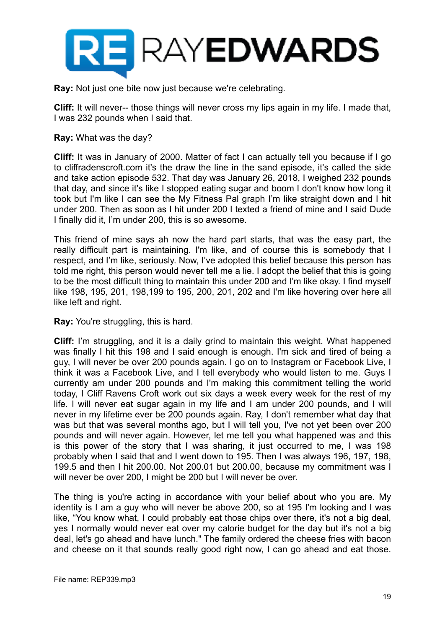

**Ray:** Not just one bite now just because we're celebrating.

**Cliff:** It will never-- those things will never cross my lips again in my life. I made that, I was 232 pounds when I said that.

#### **Ray:** What was the day?

**Cliff:** It was in January of 2000. Matter of fact I can actually tell you because if I go to cliffradenscroft.com it's the draw the line in the sand episode, it's called the side and take action episode 532. That day was January 26, 2018, I weighed 232 pounds that day, and since it's like I stopped eating sugar and boom I don't know how long it took but I'm like I can see the My Fitness Pal graph I'm like straight down and I hit under 200. Then as soon as I hit under 200 I texted a friend of mine and I said Dude I finally did it, I'm under 200, this is so awesome.

This friend of mine says ah now the hard part starts, that was the easy part, the really difficult part is maintaining. I'm like, and of course this is somebody that I respect, and I'm like, seriously. Now, I've adopted this belief because this person has told me right, this person would never tell me a lie. I adopt the belief that this is going to be the most difficult thing to maintain this under 200 and I'm like okay. I find myself like 198, 195, 201, 198,199 to 195, 200, 201, 202 and I'm like hovering over here all like left and right.

**Ray:** You're struggling, this is hard.

**Cliff:** I'm struggling, and it is a daily grind to maintain this weight. What happened was finally I hit this 198 and I said enough is enough. I'm sick and tired of being a guy, I will never be over 200 pounds again. I go on to Instagram or Facebook Live, I think it was a Facebook Live, and I tell everybody who would listen to me. Guys I currently am under 200 pounds and I'm making this commitment telling the world today, I Cliff Ravens Croft work out six days a week every week for the rest of my life. I will never eat sugar again in my life and I am under 200 pounds, and I will never in my lifetime ever be 200 pounds again. Ray, I don't remember what day that was but that was several months ago, but I will tell you, I've not yet been over 200 pounds and will never again. However, let me tell you what happened was and this is this power of the story that I was sharing, it just occurred to me, I was 198 probably when I said that and I went down to 195. Then I was always 196, 197, 198, 199.5 and then I hit 200.00. Not 200.01 but 200.00, because my commitment was I will never be over 200, I might be 200 but I will never be over.

The thing is you're acting in accordance with your belief about who you are. My identity is I am a guy who will never be above 200, so at 195 I'm looking and I was like, "You know what, I could probably eat those chips over there, it's not a big deal, yes I normally would never eat over my calorie budget for the day but it's not a big deal, let's go ahead and have lunch." The family ordered the cheese fries with bacon and cheese on it that sounds really good right now, I can go ahead and eat those.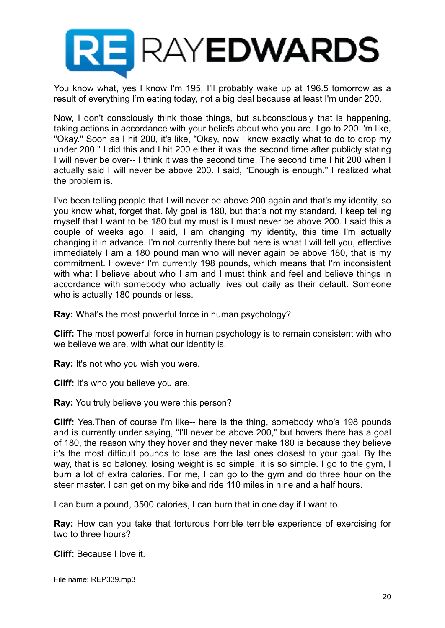

You know what, yes I know I'm 195, I'll probably wake up at 196.5 tomorrow as a result of everything I'm eating today, not a big deal because at least I'm under 200.

Now, I don't consciously think those things, but subconsciously that is happening, taking actions in accordance with your beliefs about who you are. I go to 200 I'm like, "Okay." Soon as I hit 200, it's like, "Okay, now I know exactly what to do to drop my under 200." I did this and I hit 200 either it was the second time after publicly stating I will never be over-- I think it was the second time. The second time I hit 200 when I actually said I will never be above 200. I said, "Enough is enough." I realized what the problem is.

I've been telling people that I will never be above 200 again and that's my identity, so you know what, forget that. My goal is 180, but that's not my standard, I keep telling myself that I want to be 180 but my must is I must never be above 200. I said this a couple of weeks ago, I said, I am changing my identity, this time I'm actually changing it in advance. I'm not currently there but here is what I will tell you, effective immediately I am a 180 pound man who will never again be above 180, that is my commitment. However I'm currently 198 pounds, which means that I'm inconsistent with what I believe about who I am and I must think and feel and believe things in accordance with somebody who actually lives out daily as their default. Someone who is actually 180 pounds or less.

**Ray:** What's the most powerful force in human psychology?

**Cliff:** The most powerful force in human psychology is to remain consistent with who we believe we are, with what our identity is.

**Ray:** It's not who you wish you were.

**Cliff:** It's who you believe you are.

**Ray:** You truly believe you were this person?

**Cliff:** Yes.Then of course I'm like-- here is the thing, somebody who's 198 pounds and is currently under saying, "I'll never be above 200," but hovers there has a goal of 180, the reason why they hover and they never make 180 is because they believe it's the most difficult pounds to lose are the last ones closest to your goal. By the way, that is so baloney, losing weight is so simple, it is so simple. I go to the gym, I burn a lot of extra calories. For me, I can go to the gym and do three hour on the steer master. I can get on my bike and ride 110 miles in nine and a half hours.

I can burn a pound, 3500 calories, I can burn that in one day if I want to.

**Ray:** How can you take that torturous horrible terrible experience of exercising for two to three hours?

**Cliff:** Because I love it.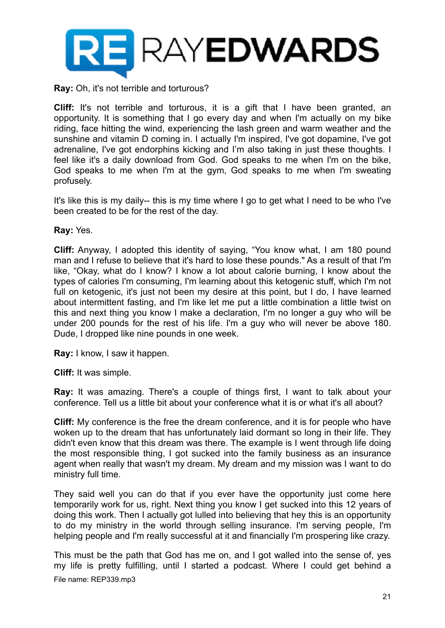

**Ray:** Oh, it's not terrible and torturous?

**Cliff:** It's not terrible and torturous, it is a gift that I have been granted, an opportunity. It is something that I go every day and when I'm actually on my bike riding, face hitting the wind, experiencing the lash green and warm weather and the sunshine and vitamin D coming in. I actually I'm inspired, I've got dopamine, I've got adrenaline, I've got endorphins kicking and I'm also taking in just these thoughts. I feel like it's a daily download from God. God speaks to me when I'm on the bike, God speaks to me when I'm at the gym, God speaks to me when I'm sweating profusely.

It's like this is my daily-- this is my time where I go to get what I need to be who I've been created to be for the rest of the day.

**Ray:** Yes.

**Cliff:** Anyway, I adopted this identity of saying, "You know what, I am 180 pound man and I refuse to believe that it's hard to lose these pounds." As a result of that I'm like, "Okay, what do I know? I know a lot about calorie burning, I know about the types of calories I'm consuming, I'm learning about this ketogenic stuff, which I'm not full on ketogenic, it's just not been my desire at this point, but I do, I have learned about intermittent fasting, and I'm like let me put a little combination a little twist on this and next thing you know I make a declaration, I'm no longer a guy who will be under 200 pounds for the rest of his life. I'm a guy who will never be above 180. Dude, I dropped like nine pounds in one week.

**Ray:** I know, I saw it happen.

**Cliff:** It was simple.

**Ray:** It was amazing. There's a couple of things first, I want to talk about your conference. Tell us a little bit about your conference what it is or what it's all about?

**Cliff:** My conference is the free the dream conference, and it is for people who have woken up to the dream that has unfortunately laid dormant so long in their life. They didn't even know that this dream was there. The example is I went through life doing the most responsible thing, I got sucked into the family business as an insurance agent when really that wasn't my dream. My dream and my mission was I want to do ministry full time.

They said well you can do that if you ever have the opportunity just come here temporarily work for us, right. Next thing you know I get sucked into this 12 years of doing this work. Then I actually got lulled into believing that hey this is an opportunity to do my ministry in the world through selling insurance. I'm serving people, I'm helping people and I'm really successful at it and financially I'm prospering like crazy.

This must be the path that God has me on, and I got walled into the sense of, yes my life is pretty fulfilling, until I started a podcast. Where I could get behind a File name: REP339.mp3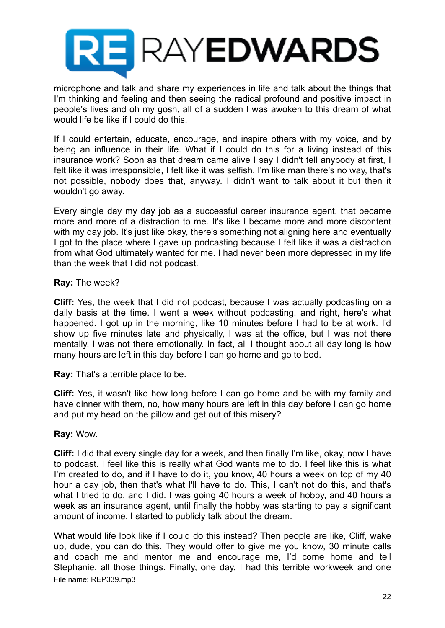

microphone and talk and share my experiences in life and talk about the things that I'm thinking and feeling and then seeing the radical profound and positive impact in people's lives and oh my gosh, all of a sudden I was awoken to this dream of what would life be like if I could do this.

If I could entertain, educate, encourage, and inspire others with my voice, and by being an influence in their life. What if I could do this for a living instead of this insurance work? Soon as that dream came alive I say I didn't tell anybody at first, I felt like it was irresponsible, I felt like it was selfish. I'm like man there's no way, that's not possible, nobody does that, anyway. I didn't want to talk about it but then it wouldn't go away.

Every single day my day job as a successful career insurance agent, that became more and more of a distraction to me. It's like I became more and more discontent with my day job. It's just like okay, there's something not aligning here and eventually I got to the place where I gave up podcasting because I felt like it was a distraction from what God ultimately wanted for me. I had never been more depressed in my life than the week that I did not podcast.

# **Ray:** The week?

**Cliff:** Yes, the week that I did not podcast, because I was actually podcasting on a daily basis at the time. I went a week without podcasting, and right, here's what happened. I got up in the morning, like 10 minutes before I had to be at work. I'd show up five minutes late and physically, I was at the office, but I was not there mentally, I was not there emotionally. In fact, all I thought about all day long is how many hours are left in this day before I can go home and go to bed.

**Ray:** That's a terrible place to be.

**Cliff:** Yes, it wasn't like how long before I can go home and be with my family and have dinner with them, no, how many hours are left in this day before I can go home and put my head on the pillow and get out of this misery?

# **Ray:** Wow.

**Cliff:** I did that every single day for a week, and then finally I'm like, okay, now I have to podcast. I feel like this is really what God wants me to do. I feel like this is what I'm created to do, and if I have to do it, you know, 40 hours a week on top of my 40 hour a day job, then that's what I'll have to do. This, I can't not do this, and that's what I tried to do, and I did. I was going 40 hours a week of hobby, and 40 hours a week as an insurance agent, until finally the hobby was starting to pay a significant amount of income. I started to publicly talk about the dream.

What would life look like if I could do this instead? Then people are like, Cliff, wake up, dude, you can do this. They would offer to give me you know, 30 minute calls and coach me and mentor me and encourage me, I'd come home and tell Stephanie, all those things. Finally, one day, I had this terrible workweek and one File name: REP339.mp3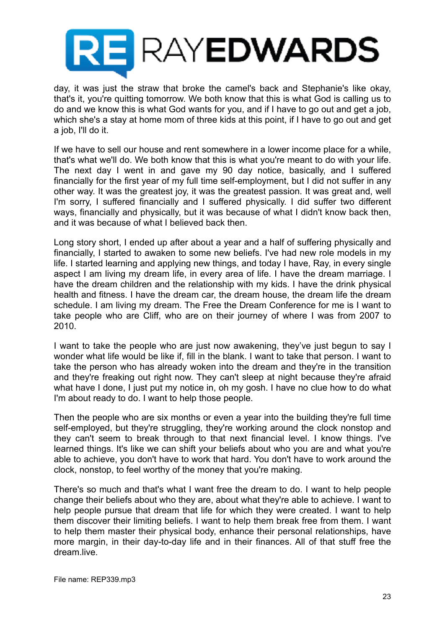

day, it was just the straw that broke the camel's back and Stephanie's like okay, that's it, you're quitting tomorrow. We both know that this is what God is calling us to do and we know this is what God wants for you, and if I have to go out and get a job, which she's a stay at home mom of three kids at this point, if I have to go out and get a job, I'll do it.

If we have to sell our house and rent somewhere in a lower income place for a while, that's what we'll do. We both know that this is what you're meant to do with your life. The next day I went in and gave my 90 day notice, basically, and I suffered financially for the first year of my full time self-employment, but I did not suffer in any other way. It was the greatest joy, it was the greatest passion. It was great and, well I'm sorry, I suffered financially and I suffered physically. I did suffer two different ways, financially and physically, but it was because of what I didn't know back then, and it was because of what I believed back then.

Long story short, I ended up after about a year and a half of suffering physically and financially, I started to awaken to some new beliefs. I've had new role models in my life. I started learning and applying new things, and today I have, Ray, in every single aspect I am living my dream life, in every area of life. I have the dream marriage. I have the dream children and the relationship with my kids. I have the drink physical health and fitness. I have the dream car, the dream house, the dream life the dream schedule. I am living my dream. The Free the Dream Conference for me is I want to take people who are Cliff, who are on their journey of where I was from 2007 to 2010.

I want to take the people who are just now awakening, they've just begun to say I wonder what life would be like if, fill in the blank. I want to take that person. I want to take the person who has already woken into the dream and they're in the transition and they're freaking out right now. They can't sleep at night because they're afraid what have I done, I just put my notice in, oh my gosh. I have no clue how to do what I'm about ready to do. I want to help those people.

Then the people who are six months or even a year into the building they're full time self-employed, but they're struggling, they're working around the clock nonstop and they can't seem to break through to that next financial level. I know things. I've learned things. It's like we can shift your beliefs about who you are and what you're able to achieve, you don't have to work that hard. You don't have to work around the clock, nonstop, to feel worthy of the money that you're making.

There's so much and that's what I want free the dream to do. I want to help people change their beliefs about who they are, about what they're able to achieve. I want to help people pursue that dream that life for which they were created. I want to help them discover their limiting beliefs. I want to help them break free from them. I want to help them master their physical body, enhance their personal relationships, have more margin, in their day-to-day life and in their finances. All of that stuff free the dream.live.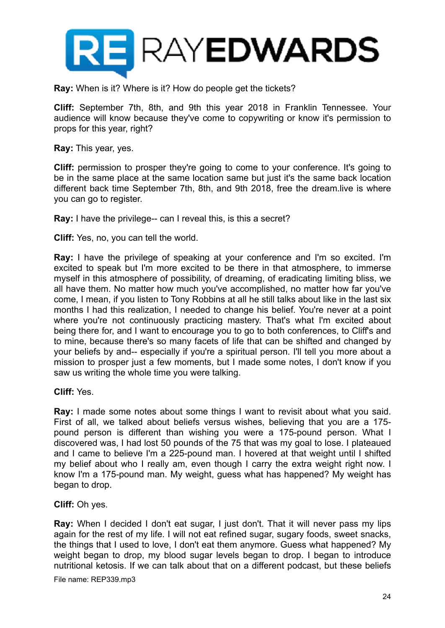

**Ray:** When is it? Where is it? How do people get the tickets?

**Cliff:** September 7th, 8th, and 9th this year 2018 in Franklin Tennessee. Your audience will know because they've come to copywriting or know it's permission to props for this year, right?

**Ray:** This year, yes.

**Cliff:** permission to prosper they're going to come to your conference. It's going to be in the same place at the same location same but just it's the same back location different back time September 7th, 8th, and 9th 2018, free the dream.live is where you can go to register.

**Ray:** I have the privilege-- can I reveal this, is this a secret?

**Cliff:** Yes, no, you can tell the world.

**Ray:** I have the privilege of speaking at your conference and I'm so excited. I'm excited to speak but I'm more excited to be there in that atmosphere, to immerse myself in this atmosphere of possibility, of dreaming, of eradicating limiting bliss, we all have them. No matter how much you've accomplished, no matter how far you've come, I mean, if you listen to Tony Robbins at all he still talks about like in the last six months I had this realization, I needed to change his belief. You're never at a point where you're not continuously practicing mastery. That's what I'm excited about being there for, and I want to encourage you to go to both conferences, to Cliff's and to mine, because there's so many facets of life that can be shifted and changed by your beliefs by and-- especially if you're a spiritual person. I'll tell you more about a mission to prosper just a few moments, but I made some notes, I don't know if you saw us writing the whole time you were talking.

**Cliff:** Yes.

**Ray:** I made some notes about some things I want to revisit about what you said. First of all, we talked about beliefs versus wishes, believing that you are a 175 pound person is different than wishing you were a 175-pound person. What I discovered was, I had lost 50 pounds of the 75 that was my goal to lose. I plateaued and I came to believe I'm a 225-pound man. I hovered at that weight until I shifted my belief about who I really am, even though I carry the extra weight right now. I know I'm a 175-pound man. My weight, guess what has happened? My weight has began to drop.

**Cliff:** Oh yes.

**Ray:** When I decided I don't eat sugar, I just don't. That it will never pass my lips again for the rest of my life. I will not eat refined sugar, sugary foods, sweet snacks, the things that I used to love, I don't eat them anymore. Guess what happened? My weight began to drop, my blood sugar levels began to drop. I began to introduce nutritional ketosis. If we can talk about that on a different podcast, but these beliefs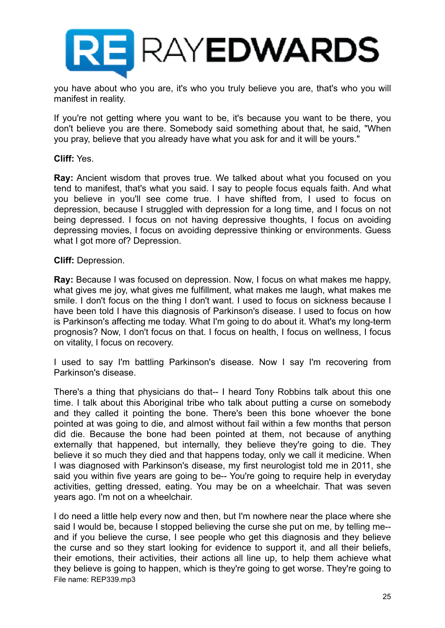

you have about who you are, it's who you truly believe you are, that's who you will manifest in reality.

If you're not getting where you want to be, it's because you want to be there, you don't believe you are there. Somebody said something about that, he said, "When you pray, believe that you already have what you ask for and it will be yours."

# **Cliff:** Yes.

**Ray:** Ancient wisdom that proves true. We talked about what you focused on you tend to manifest, that's what you said. I say to people focus equals faith. And what you believe in you'll see come true. I have shifted from, I used to focus on depression, because I struggled with depression for a long time, and I focus on not being depressed. I focus on not having depressive thoughts, I focus on avoiding depressing movies, I focus on avoiding depressive thinking or environments. Guess what I got more of? Depression.

#### **Cliff:** Depression.

**Ray:** Because I was focused on depression. Now, I focus on what makes me happy, what gives me joy, what gives me fulfillment, what makes me laugh, what makes me smile. I don't focus on the thing I don't want. I used to focus on sickness because I have been told I have this diagnosis of Parkinson's disease. I used to focus on how is Parkinson's affecting me today. What I'm going to do about it. What's my long-term prognosis? Now, I don't focus on that. I focus on health, I focus on wellness, I focus on vitality, I focus on recovery.

I used to say I'm battling Parkinson's disease. Now I say I'm recovering from Parkinson's disease.

There's a thing that physicians do that-- I heard Tony Robbins talk about this one time. I talk about this Aboriginal tribe who talk about putting a curse on somebody and they called it pointing the bone. There's been this bone whoever the bone pointed at was going to die, and almost without fail within a few months that person did die. Because the bone had been pointed at them, not because of anything externally that happened, but internally, they believe they're going to die. They believe it so much they died and that happens today, only we call it medicine. When I was diagnosed with Parkinson's disease, my first neurologist told me in 2011, she said you within five years are going to be-- You're going to require help in everyday activities, getting dressed, eating. You may be on a wheelchair. That was seven years ago. I'm not on a wheelchair.

I do need a little help every now and then, but I'm nowhere near the place where she said I would be, because I stopped believing the curse she put on me, by telling me- and if you believe the curse, I see people who get this diagnosis and they believe the curse and so they start looking for evidence to support it, and all their beliefs, their emotions, their activities, their actions all line up, to help them achieve what they believe is going to happen, which is they're going to get worse. They're going to File name: REP339.mp3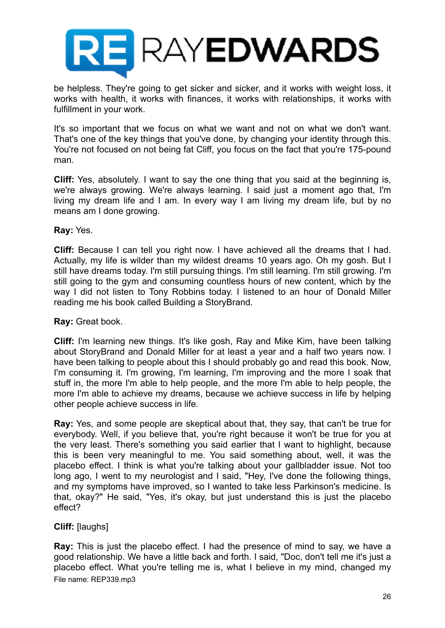

be helpless. They're going to get sicker and sicker, and it works with weight loss, it works with health, it works with finances, it works with relationships, it works with fulfillment in your work.

It's so important that we focus on what we want and not on what we don't want. That's one of the key things that you've done, by changing your identity through this. You're not focused on not being fat Cliff, you focus on the fact that you're 175-pound man.

**Cliff:** Yes, absolutely. I want to say the one thing that you said at the beginning is, we're always growing. We're always learning. I said just a moment ago that, I'm living my dream life and I am. In every way I am living my dream life, but by no means am I done growing.

# **Ray:** Yes.

**Cliff:** Because I can tell you right now. I have achieved all the dreams that I had. Actually, my life is wilder than my wildest dreams 10 years ago. Oh my gosh. But I still have dreams today. I'm still pursuing things. I'm still learning. I'm still growing. I'm still going to the gym and consuming countless hours of new content, which by the way I did not listen to Tony Robbins today. I listened to an hour of Donald Miller reading me his book called Building a StoryBrand.

# **Ray:** Great book.

**Cliff:** I'm learning new things. It's like gosh, Ray and Mike Kim, have been talking about StoryBrand and Donald Miller for at least a year and a half two years now. I have been talking to people about this I should probably go and read this book. Now, I'm consuming it. I'm growing, I'm learning, I'm improving and the more I soak that stuff in, the more I'm able to help people, and the more I'm able to help people, the more I'm able to achieve my dreams, because we achieve success in life by helping other people achieve success in life.

**Ray:** Yes, and some people are skeptical about that, they say, that can't be true for everybody. Well, if you believe that, you're right because it won't be true for you at the very least. There's something you said earlier that I want to highlight, because this is been very meaningful to me. You said something about, well, it was the placebo effect. I think is what you're talking about your gallbladder issue. Not too long ago, I went to my neurologist and I said, "Hey, I've done the following things, and my symptoms have improved, so I wanted to take less Parkinson's medicine. Is that, okay?" He said, "Yes, it's okay, but just understand this is just the placebo effect?

# **Cliff:** [laughs]

**Ray:** This is just the placebo effect. I had the presence of mind to say, we have a good relationship. We have a little back and forth. I said, "Doc, don't tell me it's just a placebo effect. What you're telling me is, what I believe in my mind, changed my File name: REP339.mp3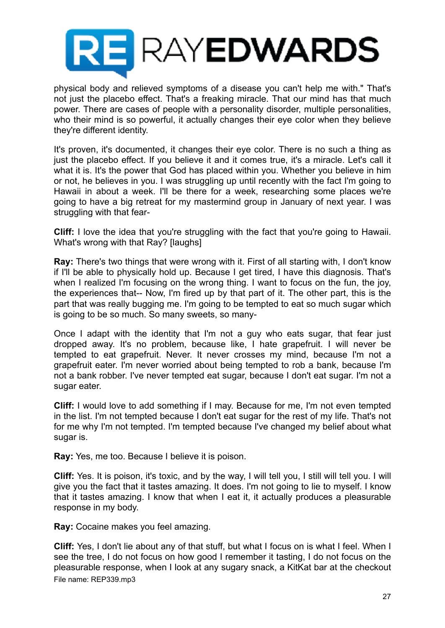

physical body and relieved symptoms of a disease you can't help me with." That's not just the placebo effect. That's a freaking miracle. That our mind has that much power. There are cases of people with a personality disorder, multiple personalities, who their mind is so powerful, it actually changes their eye color when they believe they're different identity.

It's proven, it's documented, it changes their eye color. There is no such a thing as just the placebo effect. If you believe it and it comes true, it's a miracle. Let's call it what it is. It's the power that God has placed within you. Whether you believe in him or not, he believes in you. I was struggling up until recently with the fact I'm going to Hawaii in about a week. I'll be there for a week, researching some places we're going to have a big retreat for my mastermind group in January of next year. I was struggling with that fear-

**Cliff:** I love the idea that you're struggling with the fact that you're going to Hawaii. What's wrong with that Ray? [laughs]

**Ray:** There's two things that were wrong with it. First of all starting with, I don't know if I'll be able to physically hold up. Because I get tired, I have this diagnosis. That's when I realized I'm focusing on the wrong thing. I want to focus on the fun, the joy, the experiences that-- Now, I'm fired up by that part of it. The other part, this is the part that was really bugging me. I'm going to be tempted to eat so much sugar which is going to be so much. So many sweets, so many-

Once I adapt with the identity that I'm not a guy who eats sugar, that fear just dropped away. It's no problem, because like, I hate grapefruit. I will never be tempted to eat grapefruit. Never. It never crosses my mind, because I'm not a grapefruit eater. I'm never worried about being tempted to rob a bank, because I'm not a bank robber. I've never tempted eat sugar, because I don't eat sugar. I'm not a sugar eater.

**Cliff:** I would love to add something if I may. Because for me, I'm not even tempted in the list. I'm not tempted because I don't eat sugar for the rest of my life. That's not for me why I'm not tempted. I'm tempted because I've changed my belief about what sugar is.

**Ray:** Yes, me too. Because I believe it is poison.

**Cliff:** Yes. It is poison, it's toxic, and by the way, I will tell you, I still will tell you. I will give you the fact that it tastes amazing. It does. I'm not going to lie to myself. I know that it tastes amazing. I know that when I eat it, it actually produces a pleasurable response in my body.

**Ray:** Cocaine makes you feel amazing.

**Cliff:** Yes, I don't lie about any of that stuff, but what I focus on is what I feel. When I see the tree, I do not focus on how good I remember it tasting, I do not focus on the pleasurable response, when I look at any sugary snack, a KitKat bar at the checkout File name: REP339.mp3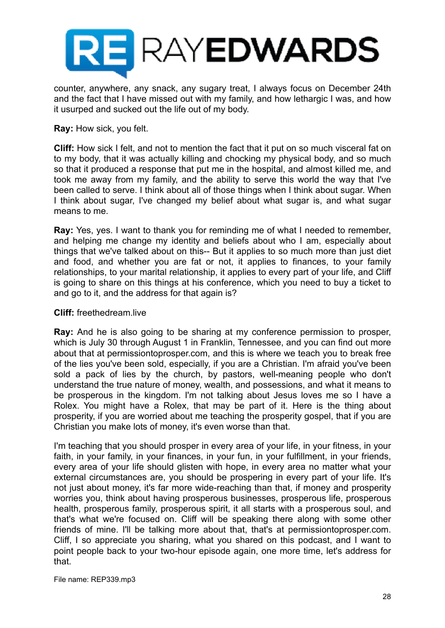

counter, anywhere, any snack, any sugary treat, I always focus on December 24th and the fact that I have missed out with my family, and how lethargic I was, and how it usurped and sucked out the life out of my body.

### **Ray:** How sick, you felt.

**Cliff:** How sick I felt, and not to mention the fact that it put on so much visceral fat on to my body, that it was actually killing and chocking my physical body, and so much so that it produced a response that put me in the hospital, and almost killed me, and took me away from my family, and the ability to serve this world the way that I've been called to serve. I think about all of those things when I think about sugar. When I think about sugar, I've changed my belief about what sugar is, and what sugar means to me.

**Ray:** Yes, yes. I want to thank you for reminding me of what I needed to remember, and helping me change my identity and beliefs about who I am, especially about things that we've talked about on this-- But it applies to so much more than just diet and food, and whether you are fat or not, it applies to finances, to your family relationships, to your marital relationship, it applies to every part of your life, and Cliff is going to share on this things at his conference, which you need to buy a ticket to and go to it, and the address for that again is?

### **Cliff:** freethedream.live

**Ray:** And he is also going to be sharing at my conference permission to prosper, which is July 30 through August 1 in Franklin, Tennessee, and you can find out more about that at permissiontoprosper.com, and this is where we teach you to break free of the lies you've been sold, especially, if you are a Christian. I'm afraid you've been sold a pack of lies by the church, by pastors, well-meaning people who don't understand the true nature of money, wealth, and possessions, and what it means to be prosperous in the kingdom. I'm not talking about Jesus loves me so I have a Rolex. You might have a Rolex, that may be part of it. Here is the thing about prosperity, if you are worried about me teaching the prosperity gospel, that if you are Christian you make lots of money, it's even worse than that.

I'm teaching that you should prosper in every area of your life, in your fitness, in your faith, in your family, in your finances, in your fun, in your fulfillment, in your friends, every area of your life should glisten with hope, in every area no matter what your external circumstances are, you should be prospering in every part of your life. It's not just about money, it's far more wide-reaching than that, if money and prosperity worries you, think about having prosperous businesses, prosperous life, prosperous health, prosperous family, prosperous spirit, it all starts with a prosperous soul, and that's what we're focused on. Cliff will be speaking there along with some other friends of mine. I'll be talking more about that, that's at permissiontoprosper.com. Cliff, I so appreciate you sharing, what you shared on this podcast, and I want to point people back to your two-hour episode again, one more time, let's address for that.